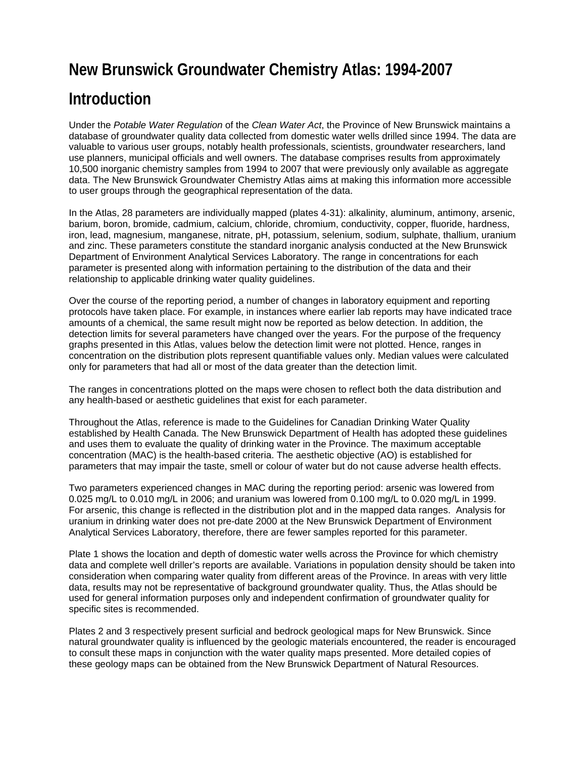## **New Brunswick Groundwater Chemistry Atlas: 1994-2007**

## **Introduction**

Under the *Potable Water Regulation* of the *Clean Water Act*, the Province of New Brunswick maintains a database of groundwater quality data collected from domestic water wells drilled since 1994. The data are valuable to various user groups, notably health professionals, scientists, groundwater researchers, land use planners, municipal officials and well owners. The database comprises results from approximately 10,500 inorganic chemistry samples from 1994 to 2007 that were previously only available as aggregate data. The New Brunswick Groundwater Chemistry Atlas aims at making this information more accessible to user groups through the geographical representation of the data.

In the Atlas, 28 parameters are individually mapped (plates 4-31): alkalinity, aluminum, antimony, arsenic, barium, boron, bromide, cadmium, calcium, chloride, chromium, conductivity, copper, fluoride, hardness, iron, lead, magnesium, manganese, nitrate, pH, potassium, selenium, sodium, sulphate, thallium, uranium and zinc. These parameters constitute the standard inorganic analysis conducted at the New Brunswick Department of Environment Analytical Services Laboratory. The range in concentrations for each parameter is presented along with information pertaining to the distribution of the data and their relationship to applicable drinking water quality guidelines.

Over the course of the reporting period, a number of changes in laboratory equipment and reporting protocols have taken place. For example, in instances where earlier lab reports may have indicated trace amounts of a chemical, the same result might now be reported as below detection. In addition, the detection limits for several parameters have changed over the years. For the purpose of the frequency graphs presented in this Atlas, values below the detection limit were not plotted. Hence, ranges in concentration on the distribution plots represent quantifiable values only. Median values were calculated only for parameters that had all or most of the data greater than the detection limit.

The ranges in concentrations plotted on the maps were chosen to reflect both the data distribution and any health-based or aesthetic guidelines that exist for each parameter.

Throughout the Atlas, reference is made to the Guidelines for Canadian Drinking Water Quality established by Health Canada. The New Brunswick Department of Health has adopted these guidelines and uses them to evaluate the quality of drinking water in the Province. The maximum acceptable concentration (MAC) is the health-based criteria. The aesthetic objective (AO) is established for parameters that may impair the taste, smell or colour of water but do not cause adverse health effects.

Two parameters experienced changes in MAC during the reporting period: arsenic was lowered from 0.025 mg/L to 0.010 mg/L in 2006; and uranium was lowered from 0.100 mg/L to 0.020 mg/L in 1999. For arsenic, this change is reflected in the distribution plot and in the mapped data ranges. Analysis for uranium in drinking water does not pre-date 2000 at the New Brunswick Department of Environment Analytical Services Laboratory, therefore, there are fewer samples reported for this parameter.

Plate 1 shows the location and depth of domestic water wells across the Province for which chemistry data and complete well driller's reports are available. Variations in population density should be taken into consideration when comparing water quality from different areas of the Province. In areas with very little data, results may not be representative of background groundwater quality. Thus, the Atlas should be used for general information purposes only and independent confirmation of groundwater quality for specific sites is recommended.

Plates 2 and 3 respectively present surficial and bedrock geological maps for New Brunswick. Since natural groundwater quality is influenced by the geologic materials encountered, the reader is encouraged to consult these maps in conjunction with the water quality maps presented. More detailed copies of these geology maps can be obtained from the New Brunswick Department of Natural Resources.